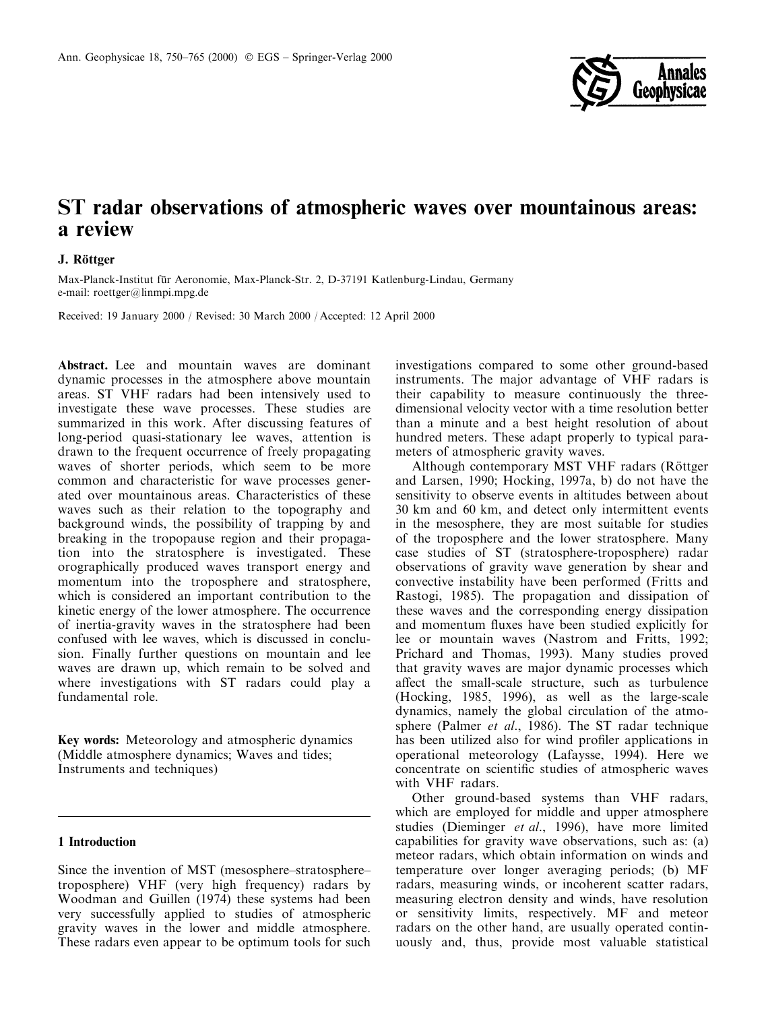

# ST radar observations of atmospheric waves over mountainous areas: a review

### J. Röttger

Max-Planck-Institut für Aeronomie, Max-Planck-Str. 2, D-37191 Katlenburg-Lindau, Germany e-mail: roettger@linmpi.mpg.de

Received: 19 January 2000 / Revised: 30 March 2000 / Accepted: 12 April 2000

Abstract. Lee and mountain waves are dominant dynamic processes in the atmosphere above mountain areas. ST VHF radars had been intensively used to investigate these wave processes. These studies are summarized in this work. After discussing features of long-period quasi-stationary lee waves, attention is drawn to the frequent occurrence of freely propagating waves of shorter periods, which seem to be more common and characteristic for wave processes generated over mountainous areas. Characteristics of these waves such as their relation to the topography and background winds, the possibility of trapping by and breaking in the tropopause region and their propagation into the stratosphere is investigated. These orographically produced waves transport energy and momentum into the troposphere and stratosphere, which is considered an important contribution to the kinetic energy of the lower atmosphere. The occurrence of inertia-gravity waves in the stratosphere had been confused with lee waves, which is discussed in conclusion. Finally further questions on mountain and lee waves are drawn up, which remain to be solved and where investigations with ST radars could play a fundamental role.

Key words: Meteorology and atmospheric dynamics (Middle atmosphere dynamics; Waves and tides; Instruments and techniques)

## 1 Introduction

Since the invention of MST (mesosphere-stratospheretroposphere) VHF (very high frequency) radars by Woodman and Guillen (1974) these systems had been very successfully applied to studies of atmospheric gravity waves in the lower and middle atmosphere. These radars even appear to be optimum tools for such

investigations compared to some other ground-based instruments. The major advantage of VHF radars is their capability to measure continuously the threedimensional velocity vector with a time resolution better than a minute and a best height resolution of about hundred meters. These adapt properly to typical parameters of atmospheric gravity waves.

Although contemporary MST VHF radars (Röttger and Larsen, 1990; Hocking, 1997a, b) do not have the sensitivity to observe events in altitudes between about 30 km and 60 km, and detect only intermittent events in the mesosphere, they are most suitable for studies of the troposphere and the lower stratosphere. Many case studies of ST (stratosphere-troposphere) radar observations of gravity wave generation by shear and convective instability have been performed (Fritts and Rastogi, 1985). The propagation and dissipation of these waves and the corresponding energy dissipation and momentum fluxes have been studied explicitly for lee or mountain waves (Nastrom and Fritts, 1992; Prichard and Thomas, 1993). Many studies proved that gravity waves are major dynamic processes which affect the small-scale structure, such as turbulence (Hocking, 1985, 1996), as well as the large-scale dynamics, namely the global circulation of the atmosphere (Palmer et al., 1986). The ST radar technique has been utilized also for wind profiler applications in operational meteorology (Lafaysse, 1994). Here we concentrate on scientific studies of atmospheric waves with VHF radars.

Other ground-based systems than VHF radars, which are employed for middle and upper atmosphere studies (Dieminger et al., 1996), have more limited capabilities for gravity wave observations, such as: (a) meteor radars, which obtain information on winds and temperature over longer averaging periods; (b) MF radars, measuring winds, or incoherent scatter radars, measuring electron density and winds, have resolution or sensitivity limits, respectively. MF and meteor radars on the other hand, are usually operated continuously and, thus, provide most valuable statistical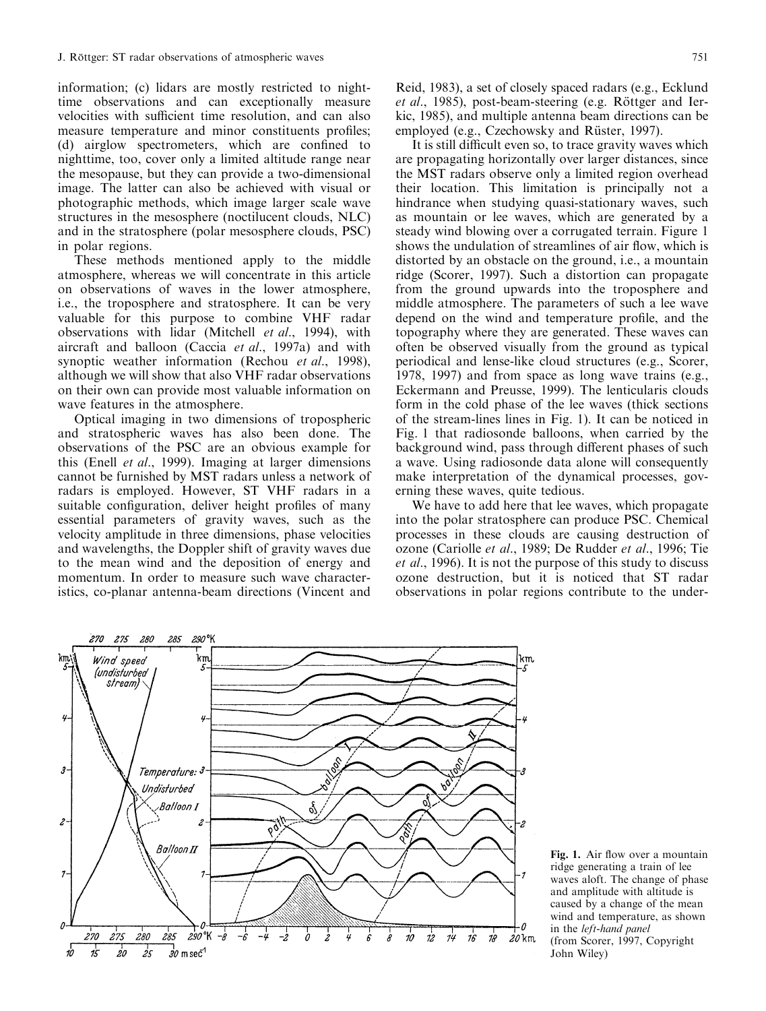information; (c) lidars are mostly restricted to nighttime observations and can exceptionally measure velocities with sufficient time resolution, and can also measure temperature and minor constituents profiles; (d) airglow spectrometers, which are confined to nighttime, too, cover only a limited altitude range near the mesopause, but they can provide a two-dimensional image. The latter can also be achieved with visual or photographic methods, which image larger scale wave structures in the mesosphere (noctilucent clouds, NLC) and in the stratosphere (polar mesosphere clouds, PSC) in polar regions.

These methods mentioned apply to the middle atmosphere, whereas we will concentrate in this article on observations of waves in the lower atmosphere, i.e., the troposphere and stratosphere. It can be very valuable for this purpose to combine VHF radar observations with lidar (Mitchell et al., 1994), with aircraft and balloon (Caccia et al., 1997a) and with synoptic weather information (Rechou et al., 1998), although we will show that also VHF radar observations on their own can provide most valuable information on wave features in the atmosphere.

Optical imaging in two dimensions of tropospheric and stratospheric waves has also been done. The observations of the PSC are an obvious example for this (Enell et al., 1999). Imaging at larger dimensions cannot be furnished by MST radars unless a network of radars is employed. However, ST VHF radars in a suitable configuration, deliver height profiles of many essential parameters of gravity waves, such as the velocity amplitude in three dimensions, phase velocities and wavelengths, the Doppler shift of gravity waves due to the mean wind and the deposition of energy and momentum. In order to measure such wave characteristics, co-planar antenna-beam directions (Vincent and

Reid, 1983), a set of closely spaced radars (e.g., Ecklund et al., 1985), post-beam-steering (e.g. Röttger and Ierkic, 1985), and multiple antenna beam directions can be employed (e.g., Czechowsky and Rüster, 1997).

It is still difficult even so, to trace gravity waves which are propagating horizontally over larger distances, since the MST radars observe only a limited region overhead their location. This limitation is principally not a hindrance when studying quasi-stationary waves, such as mountain or lee waves, which are generated by a steady wind blowing over a corrugated terrain. Figure 1 shows the undulation of streamlines of air flow, which is distorted by an obstacle on the ground, i.e., a mountain ridge (Scorer, 1997). Such a distortion can propagate from the ground upwards into the troposphere and middle atmosphere. The parameters of such a lee wave depend on the wind and temperature profile, and the topography where they are generated. These waves can often be observed visually from the ground as typical periodical and lense-like cloud structures (e.g., Scorer, 1978, 1997) and from space as long wave trains (e.g., Eckermann and Preusse, 1999). The lenticularis clouds form in the cold phase of the lee waves (thick sections of the stream-lines lines in Fig. 1). It can be noticed in Fig. 1 that radiosonde balloons, when carried by the background wind, pass through different phases of such a wave. Using radiosonde data alone will consequently make interpretation of the dynamical processes, governing these waves, quite tedious.

We have to add here that lee waves, which propagate into the polar stratosphere can produce PSC. Chemical processes in these clouds are causing destruction of ozone (Cariolle et al., 1989; De Rudder et al., 1996; Tie et al., 1996). It is not the purpose of this study to discuss ozone destruction, but it is noticed that ST radar observations in polar regions contribute to the under-



Fig. 1. Air flow over a mountain ridge generating a train of lee waves aloft. The change of phase and amplitude with altitude is caused by a change of the mean wind and temperature, as shown in the left-hand panel (from Scorer, 1997, Copyright John Wiley)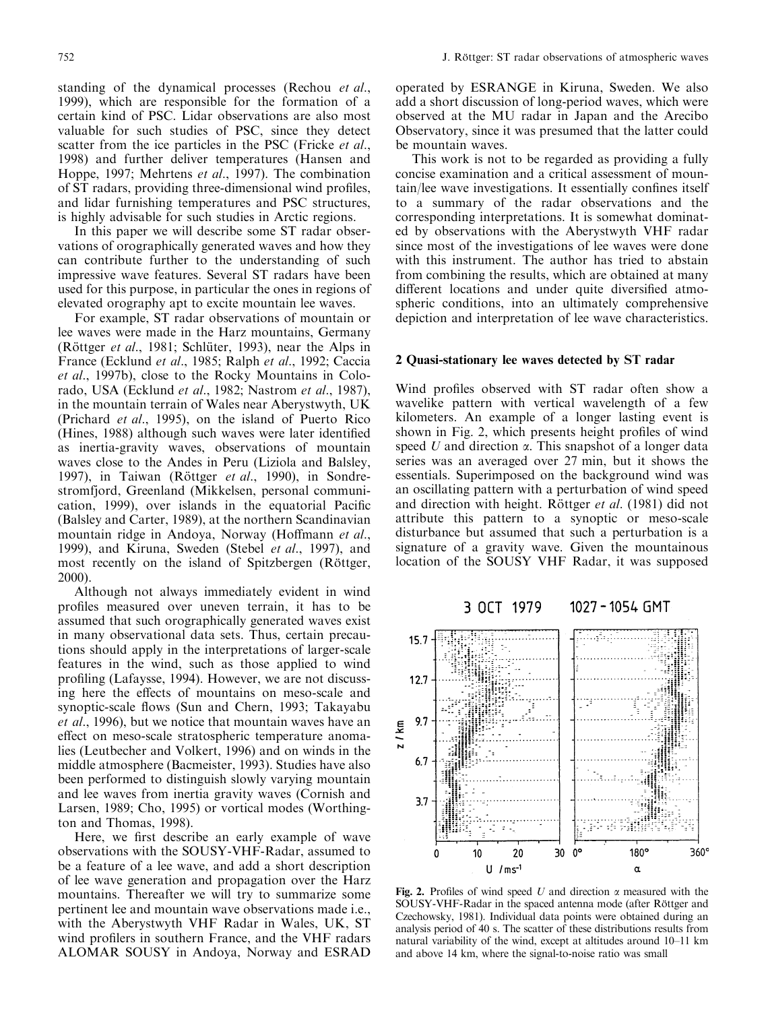standing of the dynamical processes (Rechou et al., 1999), which are responsible for the formation of a certain kind of PSC. Lidar observations are also most valuable for such studies of PSC, since they detect scatter from the ice particles in the PSC (Fricke et al., 1998) and further deliver temperatures (Hansen and Hoppe, 1997; Mehrtens et al., 1997). The combination of ST radars, providing three-dimensional wind profiles, and lidar furnishing temperatures and PSC structures, is highly advisable for such studies in Arctic regions.

In this paper we will describe some ST radar observations of orographically generated waves and how they can contribute further to the understanding of such impressive wave features. Several ST radars have been used for this purpose, in particular the ones in regions of elevated orography apt to excite mountain lee waves.

For example, ST radar observations of mountain or lee waves were made in the Harz mountains, Germany (Röttger et al., 1981; Schlüter, 1993), near the Alps in France (Ecklund et al., 1985; Ralph et al., 1992; Caccia et al., 1997b), close to the Rocky Mountains in Colorado, USA (Ecklund et al., 1982; Nastrom et al., 1987), in the mountain terrain of Wales near Aberystwyth, UK (Prichard et al., 1995), on the island of Puerto Rico (Hines, 1988) although such waves were later identified as inertia-gravity waves, observations of mountain waves close to the Andes in Peru (Liziola and Balsley, 1997), in Taiwan (Röttger et al., 1990), in Sondrestromfjord, Greenland (Mikkelsen, personal communication, 1999), over islands in the equatorial Pacific (Balsley and Carter, 1989), at the northern Scandinavian mountain ridge in Andoya, Norway (Hoffmann et al., 1999), and Kiruna, Sweden (Stebel et al., 1997), and most recently on the island of Spitzbergen (Röttger, 2000).

Although not always immediately evident in wind profiles measured over uneven terrain, it has to be assumed that such orographically generated waves exist in many observational data sets. Thus, certain precautions should apply in the interpretations of larger-scale features in the wind, such as those applied to wind profiling (Lafaysse, 1994). However, we are not discussing here the effects of mountains on meso-scale and synoptic-scale flows (Sun and Chern, 1993; Takayabu et al., 1996), but we notice that mountain waves have an effect on meso-scale stratospheric temperature anomalies (Leutbecher and Volkert, 1996) and on winds in the middle atmosphere (Bacmeister, 1993). Studies have also been performed to distinguish slowly varying mountain and lee waves from inertia gravity waves (Cornish and Larsen, 1989; Cho, 1995) or vortical modes (Worthington and Thomas, 1998).

Here, we first describe an early example of wave observations with the SOUSY-VHF-Radar, assumed to be a feature of a lee wave, and add a short description of lee wave generation and propagation over the Harz mountains. Thereafter we will try to summarize some pertinent lee and mountain wave observations made i.e., with the Aberystwyth VHF Radar in Wales, UK, ST wind profilers in southern France, and the VHF radars ALOMAR SOUSY in Andoya, Norway and ESRAD

operated by ESRANGE in Kiruna, Sweden. We also add a short discussion of long-period waves, which were observed at the MU radar in Japan and the Arecibo Observatory, since it was presumed that the latter could be mountain waves.

This work is not to be regarded as providing a fully concise examination and a critical assessment of mountain/lee wave investigations. It essentially confines itself to a summary of the radar observations and the corresponding interpretations. It is somewhat dominated by observations with the Aberystwyth VHF radar since most of the investigations of lee waves were done with this instrument. The author has tried to abstain from combining the results, which are obtained at many different locations and under quite diversified atmospheric conditions, into an ultimately comprehensive depiction and interpretation of lee wave characteristics.

#### 2 Quasi-stationary lee waves detected by ST radar

Wind profiles observed with ST radar often show a wavelike pattern with vertical wavelength of a few kilometers. An example of a longer lasting event is shown in Fig. 2, which presents height profiles of wind speed U and direction  $\alpha$ . This snapshot of a longer data series was an averaged over 27 min, but it shows the essentials. Superimposed on the background wind was an oscillating pattern with a perturbation of wind speed and direction with height. Röttger et al. (1981) did not attribute this pattern to a synoptic or meso-scale disturbance but assumed that such a perturbation is a signature of a gravity wave. Given the mountainous location of the SOUSY VHF Radar, it was supposed



Fig. 2. Profiles of wind speed U and direction  $\alpha$  measured with the SOUSY-VHF-Radar in the spaced antenna mode (after Röttger and Czechowsky, 1981). Individual data points were obtained during an analysis period of 40 s. The scatter of these distributions results from natural variability of the wind, except at altitudes around  $10-11$  km and above 14 km, where the signal-to-noise ratio was small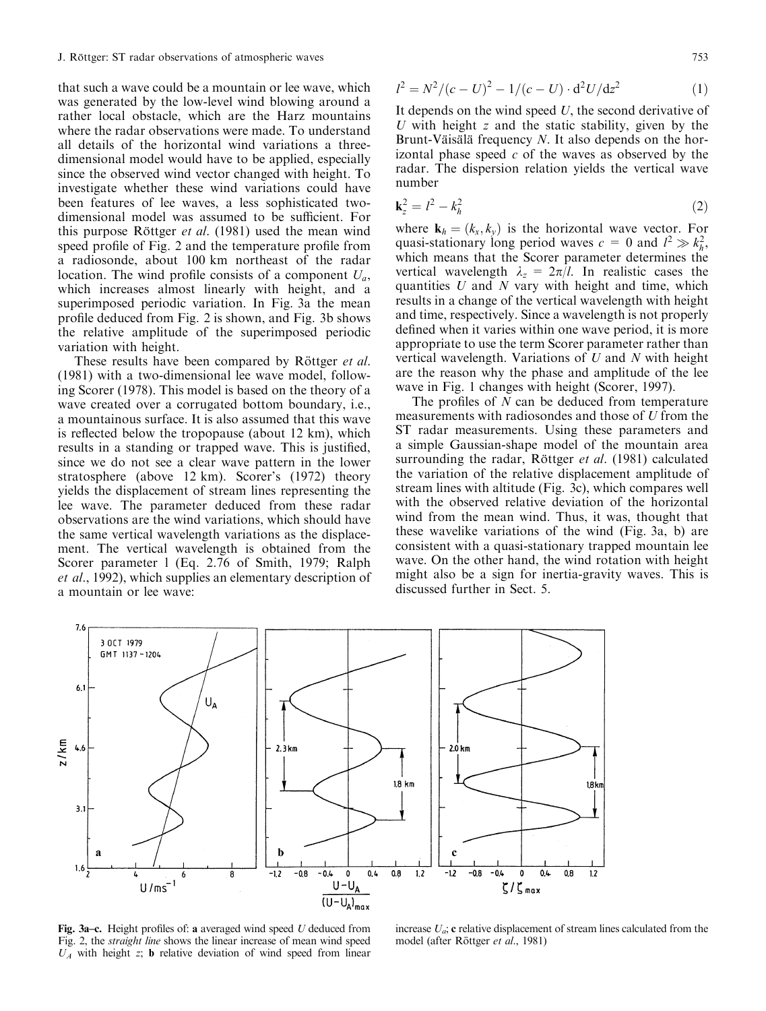that such a wave could be a mountain or lee wave, which was generated by the low-level wind blowing around a rather local obstacle, which are the Harz mountains where the radar observations were made. To understand all details of the horizontal wind variations a threedimensional model would have to be applied, especially since the observed wind vector changed with height. To investigate whether these wind variations could have been features of lee waves, a less sophisticated twodimensional model was assumed to be sufficient. For this purpose Röttger *et al.* (1981) used the mean wind speed profile of Fig. 2 and the temperature profile from a radiosonde, about 100 km northeast of the radar location. The wind profile consists of a component  $U_a$ , which increases almost linearly with height, and a superimposed periodic variation. In Fig. 3a the mean profile deduced from Fig. 2 is shown, and Fig. 3b shows the relative amplitude of the superimposed periodic variation with height.

These results have been compared by Röttger et al. (1981) with a two-dimensional lee wave model, following Scorer (1978). This model is based on the theory of a wave created over a corrugated bottom boundary, i.e., a mountainous surface. It is also assumed that this wave is reflected below the tropopause (about  $12 \text{ km}$ ), which results in a standing or trapped wave. This is justified, since we do not see a clear wave pattern in the lower stratosphere (above 12 km). Scorer's (1972) theory yields the displacement of stream lines representing the lee wave. The parameter deduced from these radar observations are the wind variations, which should have the same vertical wavelength variations as the displacement. The vertical wavelength is obtained from the Scorer parameter l (Eq. 2.76 of Smith, 1979; Ralph et al., 1992), which supplies an elementary description of a mountain or lee wave:

$$
l^2 = N^2/(c - U)^2 - 1/(c - U) \cdot d^2 U/dz^2 \tag{1}
$$

It depends on the wind speed  $U$ , the second derivative of U with height  $z$  and the static stability, given by the Brunt-Väisälä frequency  $N$ . It also depends on the horizontal phase speed  $c$  of the waves as observed by the radar. The dispersion relation yields the vertical wave number

$$
\mathbf{k}_z^2 = l^2 - k_h^2 \tag{2}
$$

where  $\mathbf{k}_h = (k_x, k_y)$  is the horizontal wave vector. For quasi-stationary long period waves  $c = 0$  and  $l^2 \gg k_h^2$ , which means that the Scorer parameter determines the vertical wavelength  $\lambda_z = 2\pi/l$ . In realistic cases the quantities  $U$  and  $N$  vary with height and time, which results in a change of the vertical wavelength with height and time, respectively. Since a wavelength is not properly defined when it varies within one wave period, it is more appropriate to use the term Scorer parameter rather than vertical wavelength. Variations of  $U$  and  $N$  with height are the reason why the phase and amplitude of the lee wave in Fig. 1 changes with height (Scorer, 1997).

The profiles of  $N$  can be deduced from temperature measurements with radiosondes and those of U from the ST radar measurements. Using these parameters and a simple Gaussian-shape model of the mountain area surrounding the radar, Röttger  $et$  al. (1981) calculated the variation of the relative displacement amplitude of stream lines with altitude (Fig. 3c), which compares well with the observed relative deviation of the horizontal wind from the mean wind. Thus, it was, thought that these wavelike variations of the wind (Fig. 3a, b) are consistent with a quasi-stationary trapped mountain lee wave. On the other hand, the wind rotation with height might also be a sign for inertia-gravity waves. This is discussed further in Sect. 5.



Fig. 3a-c. Height profiles of: a averaged wind speed  $U$  deduced from Fig. 2, the straight line shows the linear increase of mean wind speed  $U_A$  with height z; **b** relative deviation of wind speed from linear

increase  $U_a$ ; c relative displacement of stream lines calculated from the model (after Röttger et al., 1981)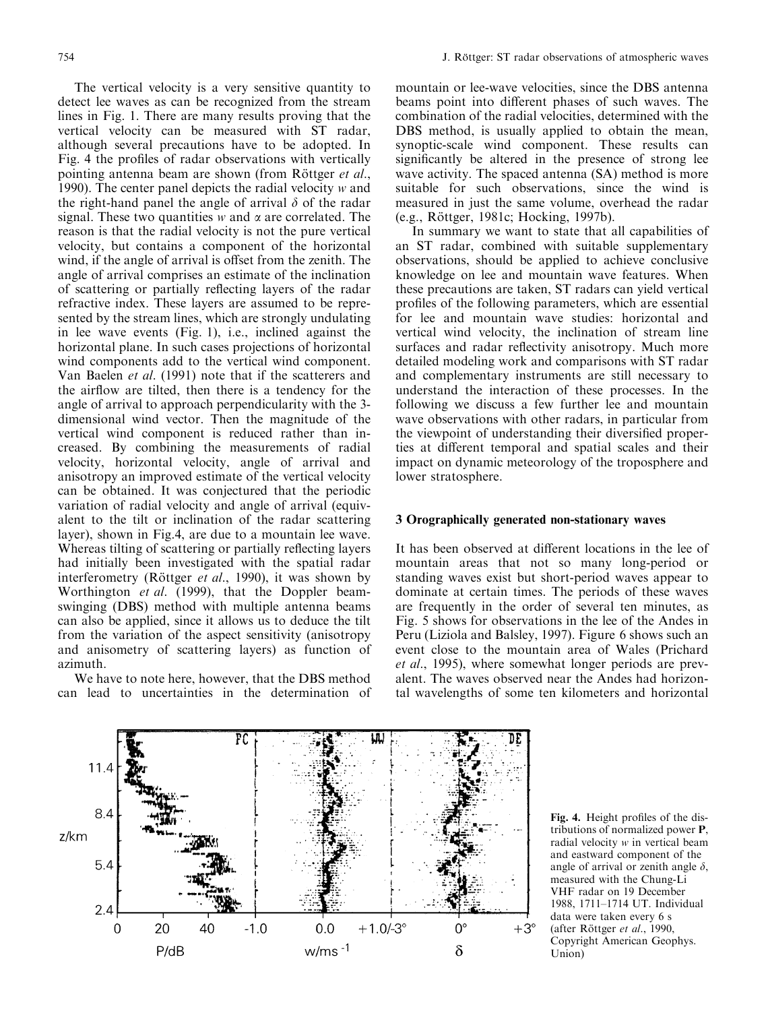The vertical velocity is a very sensitive quantity to detect lee waves as can be recognized from the stream lines in Fig. 1. There are many results proving that the vertical velocity can be measured with ST radar, although several precautions have to be adopted. In Fig. 4 the profiles of radar observations with vertically pointing antenna beam are shown (from Röttger *et al.*, 1990). The center panel depicts the radial velocity  $w$  and the right-hand panel the angle of arrival  $\delta$  of the radar signal. These two quantities w and  $\alpha$  are correlated. The reason is that the radial velocity is not the pure vertical velocity, but contains a component of the horizontal wind, if the angle of arrival is offset from the zenith. The angle of arrival comprises an estimate of the inclination of scattering or partially reflecting layers of the radar refractive index. These layers are assumed to be represented by the stream lines, which are strongly undulating in lee wave events (Fig. 1), i.e., inclined against the horizontal plane. In such cases projections of horizontal wind components add to the vertical wind component. Van Baelen et al. (1991) note that if the scatterers and the airflow are tilted, then there is a tendency for the angle of arrival to approach perpendicularity with the 3 dimensional wind vector. Then the magnitude of the vertical wind component is reduced rather than increased. By combining the measurements of radial velocity, horizontal velocity, angle of arrival and anisotropy an improved estimate of the vertical velocity can be obtained. It was conjectured that the periodic variation of radial velocity and angle of arrival (equivalent to the tilt or inclination of the radar scattering layer), shown in Fig.4, are due to a mountain lee wave. Whereas tilting of scattering or partially reflecting layers had initially been investigated with the spatial radar interferometry (Röttger *et al.*, 1990), it was shown by Worthington *et al.* (1999), that the Doppler beamswinging (DBS) method with multiple antenna beams can also be applied, since it allows us to deduce the tilt from the variation of the aspect sensitivity (anisotropy and anisometry of scattering layers) as function of azimuth.

We have to note here, however, that the DBS method can lead to uncertainties in the determination of

mountain or lee-wave velocities, since the DBS antenna beams point into different phases of such waves. The combination of the radial velocities, determined with the DBS method, is usually applied to obtain the mean, synoptic-scale wind component. These results can significantly be altered in the presence of strong lee wave activity. The spaced antenna (SA) method is more suitable for such observations, since the wind is measured in just the same volume, overhead the radar (e.g., Röttger, 1981c; Hocking, 1997b).

In summary we want to state that all capabilities of an ST radar, combined with suitable supplementary observations, should be applied to achieve conclusive knowledge on lee and mountain wave features. When these precautions are taken, ST radars can yield vertical profiles of the following parameters, which are essential for lee and mountain wave studies: horizontal and vertical wind velocity, the inclination of stream line surfaces and radar reflectivity anisotropy. Much more detailed modeling work and comparisons with ST radar and complementary instruments are still necessary to understand the interaction of these processes. In the following we discuss a few further lee and mountain wave observations with other radars, in particular from the viewpoint of understanding their diversified properties at different temporal and spatial scales and their impact on dynamic meteorology of the troposphere and lower stratosphere.

#### 3 Orographically generated non-stationary waves

It has been observed at different locations in the lee of mountain areas that not so many long-period or standing waves exist but short-period waves appear to dominate at certain times. The periods of these waves are frequently in the order of several ten minutes, as Fig. 5 shows for observations in the lee of the Andes in Peru (Liziola and Balsley, 1997). Figure 6 shows such an event close to the mountain area of Wales (Prichard et al., 1995), where somewhat longer periods are prevalent. The waves observed near the Andes had horizontal wavelengths of some ten kilometers and horizontal



Fig. 4. Height profiles of the distributions of normalized power P, radial velocity w in vertical beam and eastward component of the angle of arrival or zenith angle  $\delta$ , measured with the Chung-Li VHF radar on 19 December 1988, 1711±1714 UT. Individual data were taken every 6 s (after Röttger et al., 1990, Copyright American Geophys. Union)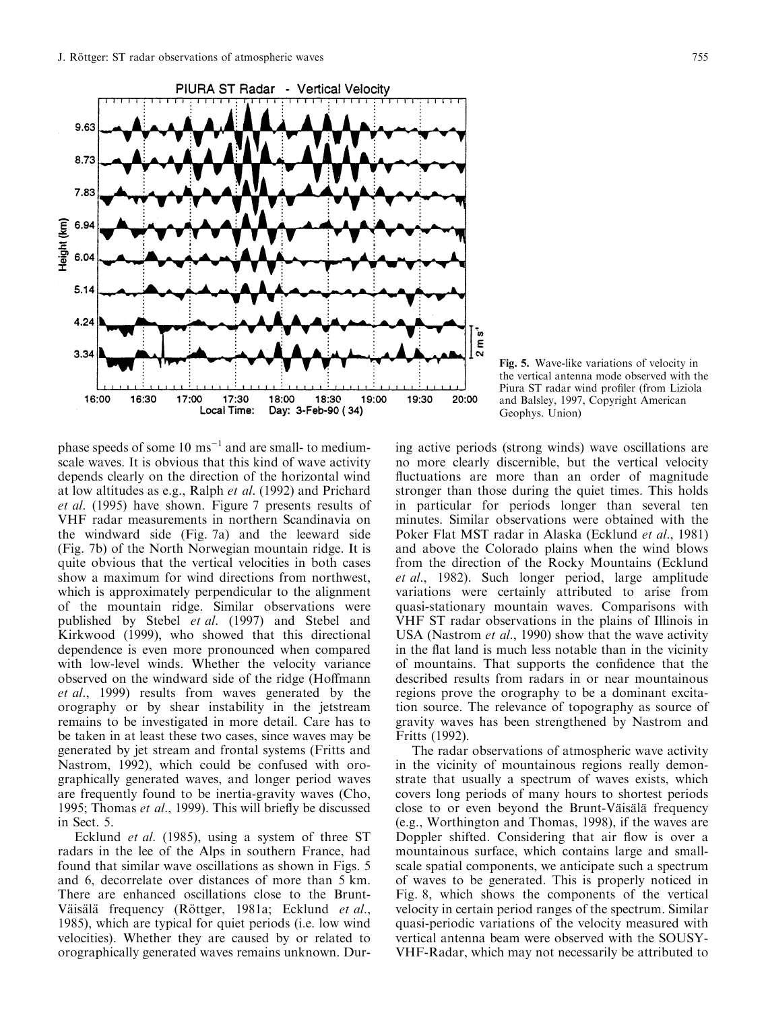

Fig. 5. Wave-like variations of velocity in the vertical antenna mode observed with the Piura ST radar wind profiler (from Liziola and Balsley, 1997, Copyright American Geophys. Union)

phase speeds of some  $10 \text{ ms}^{-1}$  and are small- to mediumscale waves. It is obvious that this kind of wave activity depends clearly on the direction of the horizontal wind at low altitudes as e.g., Ralph et al. (1992) and Prichard et al. (1995) have shown. Figure 7 presents results of VHF radar measurements in northern Scandinavia on the windward side (Fig. 7a) and the leeward side (Fig. 7b) of the North Norwegian mountain ridge. It is quite obvious that the vertical velocities in both cases show a maximum for wind directions from northwest, which is approximately perpendicular to the alignment of the mountain ridge. Similar observations were published by Stebel et al. (1997) and Stebel and Kirkwood (1999), who showed that this directional dependence is even more pronounced when compared with low-level winds. Whether the velocity variance observed on the windward side of the ridge (Homann et al., 1999) results from waves generated by the orography or by shear instability in the jetstream remains to be investigated in more detail. Care has to be taken in at least these two cases, since waves may be generated by jet stream and frontal systems (Fritts and Nastrom, 1992), which could be confused with orographically generated waves, and longer period waves are frequently found to be inertia-gravity waves (Cho, 1995; Thomas et al., 1999). This will briefly be discussed in Sect. 5.

Ecklund *et al.* (1985), using a system of three ST radars in the lee of the Alps in southern France, had found that similar wave oscillations as shown in Figs. 5 and 6, decorrelate over distances of more than 5 km. There are enhanced oscillations close to the Brunt-Väisälä frequency (Röttger, 1981a; Ecklund et al., 1985), which are typical for quiet periods (i.e. low wind velocities). Whether they are caused by or related to orographically generated waves remains unknown. Dur-

ing active periods (strong winds) wave oscillations are no more clearly discernible, but the vertical velocity fluctuations are more than an order of magnitude stronger than those during the quiet times. This holds in particular for periods longer than several ten minutes. Similar observations were obtained with the Poker Flat MST radar in Alaska (Ecklund et al., 1981) and above the Colorado plains when the wind blows from the direction of the Rocky Mountains (Ecklund et al., 1982). Such longer period, large amplitude variations were certainly attributed to arise from quasi-stationary mountain waves. Comparisons with VHF ST radar observations in the plains of Illinois in USA (Nastrom et al., 1990) show that the wave activity in the flat land is much less notable than in the vicinity of mountains. That supports the confidence that the described results from radars in or near mountainous regions prove the orography to be a dominant excitation source. The relevance of topography as source of gravity waves has been strengthened by Nastrom and Fritts (1992).

The radar observations of atmospheric wave activity in the vicinity of mountainous regions really demonstrate that usually a spectrum of waves exists, which covers long periods of many hours to shortest periods close to or even beyond the Brunt-Väisälä frequency (e.g., Worthington and Thomas, 1998), if the waves are Doppler shifted. Considering that air flow is over a mountainous surface, which contains large and smallscale spatial components, we anticipate such a spectrum of waves to be generated. This is properly noticed in Fig. 8, which shows the components of the vertical velocity in certain period ranges of the spectrum. Similar quasi-periodic variations of the velocity measured with vertical antenna beam were observed with the SOUSY-VHF-Radar, which may not necessarily be attributed to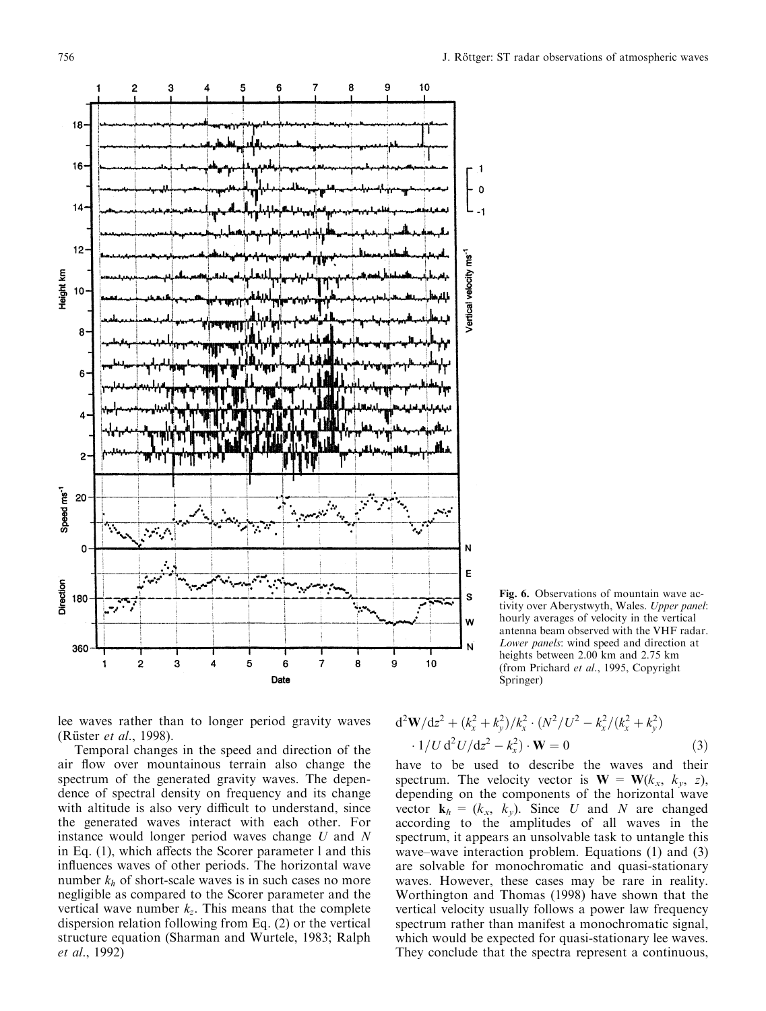

Fig. 6. Observations of mountain wave activity over Aberystwyth, Wales. Upper panel: hourly averages of velocity in the vertical antenna beam observed with the VHF radar. Lower panels: wind speed and direction at heights between 2.00 km and 2.75 km (from Prichard et al., 1995, Copyright Springer)

lee waves rather than to longer period gravity waves (Rüster et al., 1998).

Temporal changes in the speed and direction of the air flow over mountainous terrain also change the spectrum of the generated gravity waves. The dependence of spectral density on frequency and its change with altitude is also very difficult to understand, since the generated waves interact with each other. For instance would longer period waves change  $U$  and  $N$ in Eq.  $(1)$ , which affects the Scorer parameter 1 and this influences waves of other periods. The horizontal wave number  $k_h$  of short-scale waves is in such cases no more negligible as compared to the Scorer parameter and the vertical wave number  $k_z$ . This means that the complete dispersion relation following from Eq. (2) or the vertical structure equation (Sharman and Wurtele, 1983; Ralph et al., 1992)

$$
d^{2}W/dz^{2} + (k_{x}^{2} + k_{y}^{2})/k_{x}^{2} \cdot (N^{2}/U^{2} - k_{x}^{2}/(k_{x}^{2} + k_{y}^{2})
$$

$$
\cdot 1/U d^{2}U/dz^{2} - k_{x}^{2}) \cdot W = 0
$$
(3)

have to be used to describe the waves and their spectrum. The velocity vector is  $\mathbf{W} = \mathbf{W}(k_x, k_y, z)$ , depending on the components of the horizontal wave vector  $\mathbf{k}_h = (k_x, k_y)$ . Since U and N are changed according to the amplitudes of all waves in the spectrum, it appears an unsolvable task to untangle this wave–wave interaction problem. Equations  $(1)$  and  $(3)$ are solvable for monochromatic and quasi-stationary waves. However, these cases may be rare in reality. Worthington and Thomas (1998) have shown that the vertical velocity usually follows a power law frequency spectrum rather than manifest a monochromatic signal, which would be expected for quasi-stationary lee waves. They conclude that the spectra represent a continuous,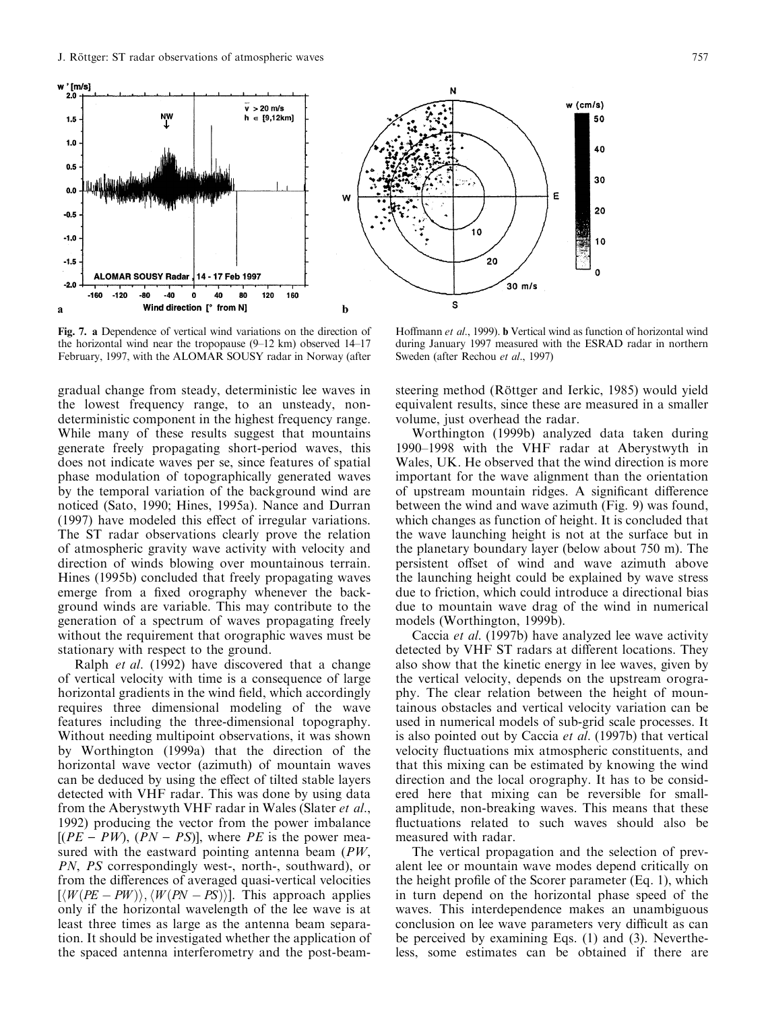

Fig. 7. a Dependence of vertical wind variations on the direction of the horizontal wind near the tropopause  $(9-12 \text{ km})$  observed 14-17 February, 1997, with the ALOMAR SOUSY radar in Norway (after

Hoffmann et al., 1999). **b** Vertical wind as function of horizontal wind during January 1997 measured with the ESRAD radar in northern Sweden (after Rechou et al., 1997)

gradual change from steady, deterministic lee waves in the lowest frequency range, to an unsteady, nondeterministic component in the highest frequency range. While many of these results suggest that mountains generate freely propagating short-period waves, this does not indicate waves per se, since features of spatial phase modulation of topographically generated waves by the temporal variation of the background wind are noticed (Sato, 1990; Hines, 1995a). Nance and Durran (1997) have modeled this effect of irregular variations. The ST radar observations clearly prove the relation of atmospheric gravity wave activity with velocity and direction of winds blowing over mountainous terrain. Hines (1995b) concluded that freely propagating waves emerge from a fixed orography whenever the background winds are variable. This may contribute to the generation of a spectrum of waves propagating freely without the requirement that orographic waves must be stationary with respect to the ground.

Ralph et al. (1992) have discovered that a change of vertical velocity with time is a consequence of large horizontal gradients in the wind field, which accordingly requires three dimensional modeling of the wave features including the three-dimensional topography. Without needing multipoint observations, it was shown by Worthington (1999a) that the direction of the horizontal wave vector (azimuth) of mountain waves can be deduced by using the effect of tilted stable layers detected with VHF radar. This was done by using data from the Aberystwyth VHF radar in Wales (Slater et al., 1992) producing the vector from the power imbalance  $[(PE - PW)$ ,  $(PN - PS)]$ , where PE is the power measured with the eastward pointing antenna beam (PW, PN, PS correspondingly west-, north-, southward), or from the differences of averaged quasi-vertical velocities  $[\langle W (PE - PW) \rangle, \langle W (PN - PS) \rangle]$ . This approach applies only if the horizontal wavelength of the lee wave is at least three times as large as the antenna beam separation. It should be investigated whether the application of the spaced antenna interferometry and the post-beamsteering method (Röttger and Ierkic, 1985) would yield equivalent results, since these are measured in a smaller volume, just overhead the radar.

Worthington (1999b) analyzed data taken during 1990±1998 with the VHF radar at Aberystwyth in Wales, UK. He observed that the wind direction is more important for the wave alignment than the orientation of upstream mountain ridges. A significant difference between the wind and wave azimuth (Fig. 9) was found, which changes as function of height. It is concluded that the wave launching height is not at the surface but in the planetary boundary layer (below about 750 m). The persistent offset of wind and wave azimuth above the launching height could be explained by wave stress due to friction, which could introduce a directional bias due to mountain wave drag of the wind in numerical models (Worthington, 1999b).

Caccia et al. (1997b) have analyzed lee wave activity detected by VHF ST radars at different locations. They also show that the kinetic energy in lee waves, given by the vertical velocity, depends on the upstream orography. The clear relation between the height of mountainous obstacles and vertical velocity variation can be used in numerical models of sub-grid scale processes. It is also pointed out by Caccia *et al.* (1997b) that vertical velocity fluctuations mix atmospheric constituents, and that this mixing can be estimated by knowing the wind direction and the local orography. It has to be considered here that mixing can be reversible for smallamplitude, non-breaking waves. This means that these fluctuations related to such waves should also be measured with radar.

The vertical propagation and the selection of prevalent lee or mountain wave modes depend critically on the height profile of the Scorer parameter  $(Eq. 1)$ , which in turn depend on the horizontal phase speed of the waves. This interdependence makes an unambiguous conclusion on lee wave parameters very difficult as can be perceived by examining Eqs. (1) and (3). Nevertheless, some estimates can be obtained if there are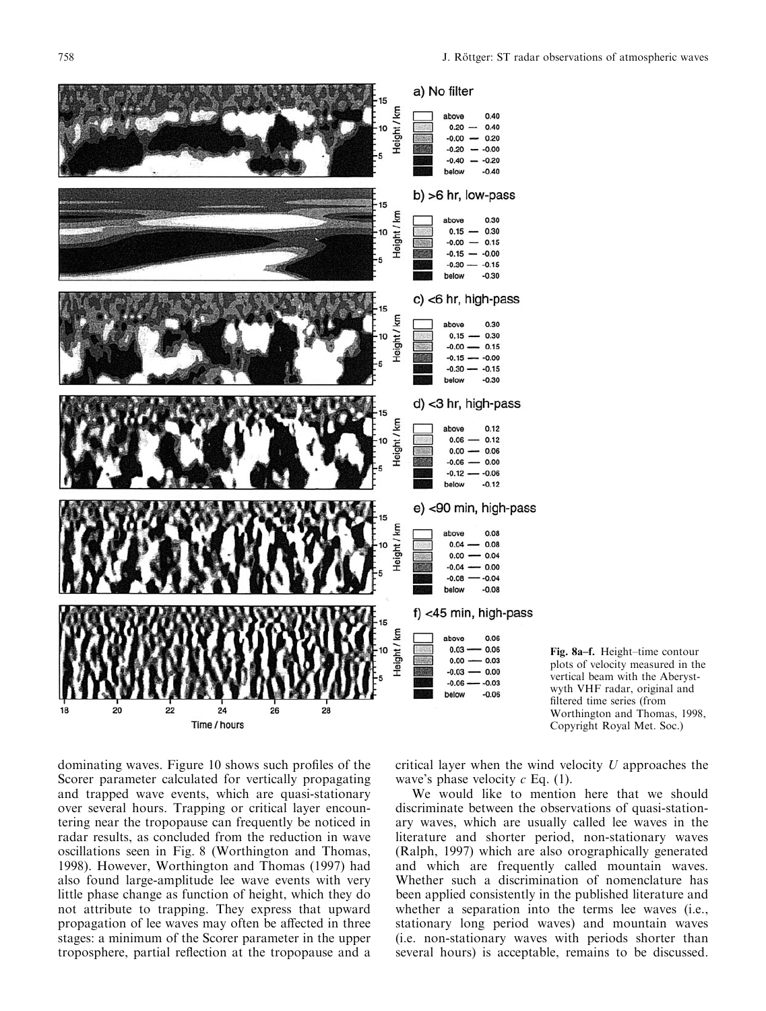



dominating waves. Figure 10 shows such profiles of the Scorer parameter calculated for vertically propagating and trapped wave events, which are quasi-stationary over several hours. Trapping or critical layer encountering near the tropopause can frequently be noticed in radar results, as concluded from the reduction in wave oscillations seen in Fig. 8 (Worthington and Thomas, 1998). However, Worthington and Thomas (1997) had also found large-amplitude lee wave events with very little phase change as function of height, which they do not attribute to trapping. They express that upward propagation of lee waves may often be affected in three stages: a minimum of the Scorer parameter in the upper troposphere, partial reflection at the tropopause and a

critical layer when the wind velocity  $U$  approaches the wave's phase velocity  $c$  Eq. (1).

We would like to mention here that we should discriminate between the observations of quasi-stationary waves, which are usually called lee waves in the literature and shorter period, non-stationary waves (Ralph, 1997) which are also orographically generated and which are frequently called mountain waves. Whether such a discrimination of nomenclature has been applied consistently in the published literature and whether a separation into the terms lee waves (i.e., stationary long period waves) and mountain waves (i.e. non-stationary waves with periods shorter than several hours) is acceptable, remains to be discussed.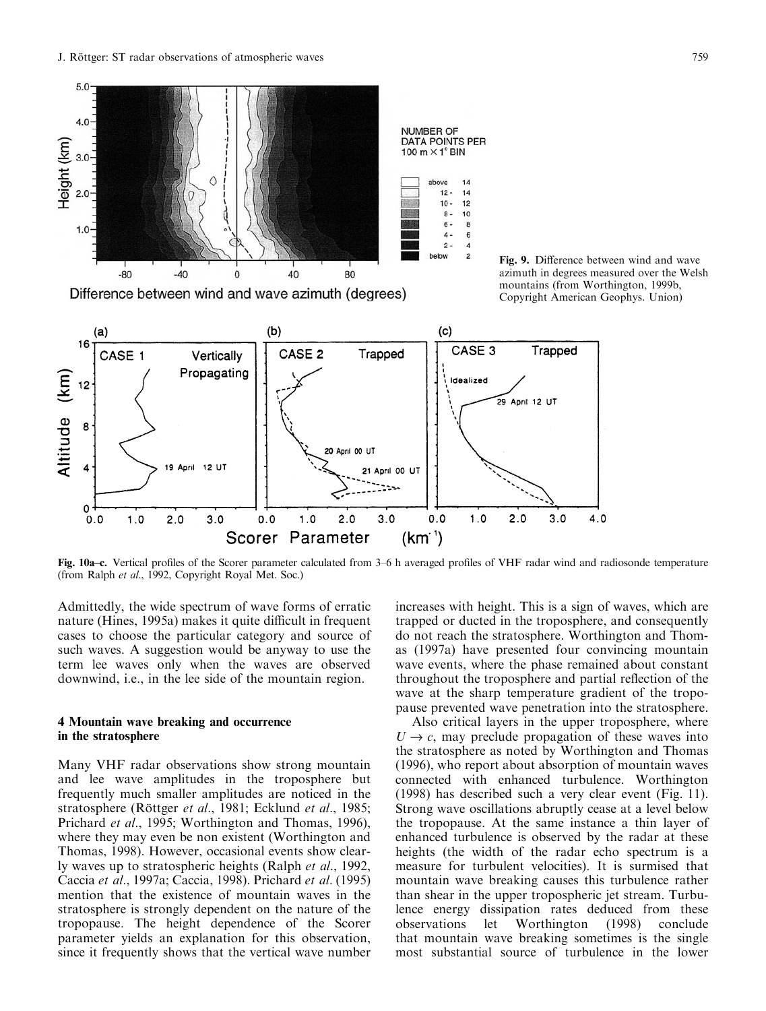

Fig. 10a-c. Vertical profiles of the Scorer parameter calculated from 3-6 h averaged profiles of VHF radar wind and radiosonde temperature (from Ralph et al., 1992, Copyright Royal Met. Soc.)

Admittedly, the wide spectrum of wave forms of erratic nature (Hines, 1995a) makes it quite difficult in frequent cases to choose the particular category and source of such waves. A suggestion would be anyway to use the term lee waves only when the waves are observed downwind, i.e., in the lee side of the mountain region.

## 4 Mountain wave breaking and occurrence in the stratosphere

Many VHF radar observations show strong mountain and lee wave amplitudes in the troposphere but frequently much smaller amplitudes are noticed in the stratosphere (Röttger et al., 1981; Ecklund et al., 1985; Prichard et al., 1995; Worthington and Thomas, 1996), where they may even be non existent (Worthington and Thomas, 1998). However, occasional events show clearly waves up to stratospheric heights (Ralph et al., 1992, Caccia et al., 1997a; Caccia, 1998). Prichard et al. (1995) mention that the existence of mountain waves in the stratosphere is strongly dependent on the nature of the tropopause. The height dependence of the Scorer parameter yields an explanation for this observation, since it frequently shows that the vertical wave number

increases with height. This is a sign of waves, which are trapped or ducted in the troposphere, and consequently do not reach the stratosphere. Worthington and Thomas (1997a) have presented four convincing mountain wave events, where the phase remained about constant throughout the troposphere and partial reflection of the wave at the sharp temperature gradient of the tropopause prevented wave penetration into the stratosphere.

4.0

Also critical layers in the upper troposphere, where  $U \rightarrow c$ , may preclude propagation of these waves into the stratosphere as noted by Worthington and Thomas (1996), who report about absorption of mountain waves connected with enhanced turbulence. Worthington (1998) has described such a very clear event (Fig. 11). Strong wave oscillations abruptly cease at a level below the tropopause. At the same instance a thin layer of enhanced turbulence is observed by the radar at these heights (the width of the radar echo spectrum is a measure for turbulent velocities). It is surmised that mountain wave breaking causes this turbulence rather than shear in the upper tropospheric jet stream. Turbulence energy dissipation rates deduced from these observations let Worthington (1998) conclude that mountain wave breaking sometimes is the single most substantial source of turbulence in the lower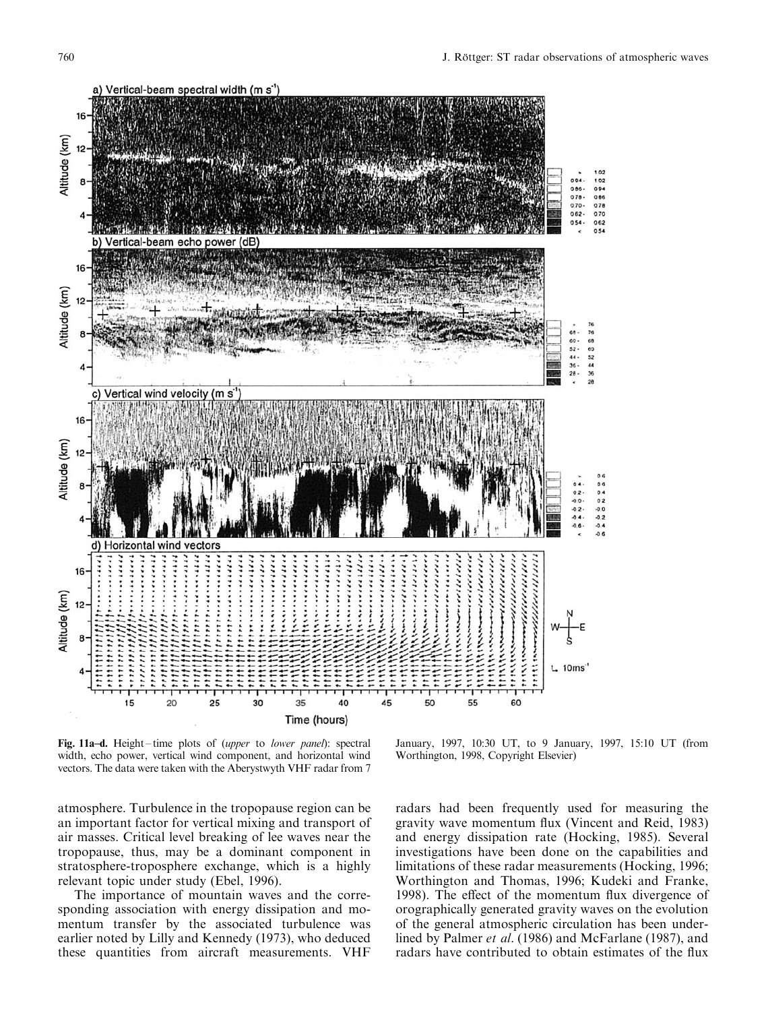

Fig. 11a-d. Height-time plots of (upper to lower panel): spectral width, echo power, vertical wind component, and horizontal wind vectors. The data were taken with the Aberystwyth VHF radar from 7

January, 1997, 10:30 UT, to 9 January, 1997, 15:10 UT (from Worthington, 1998, Copyright Elsevier)

atmosphere. Turbulence in the tropopause region can be an important factor for vertical mixing and transport of air masses. Critical level breaking of lee waves near the tropopause, thus, may be a dominant component in stratosphere-troposphere exchange, which is a highly relevant topic under study (Ebel, 1996).

The importance of mountain waves and the corresponding association with energy dissipation and momentum transfer by the associated turbulence was earlier noted by Lilly and Kennedy (1973), who deduced these quantities from aircraft measurements. VHF

radars had been frequently used for measuring the gravity wave momentum flux (Vincent and Reid, 1983) and energy dissipation rate (Hocking, 1985). Several investigations have been done on the capabilities and limitations of these radar measurements (Hocking, 1996; Worthington and Thomas, 1996; Kudeki and Franke, 1998). The effect of the momentum flux divergence of orographically generated gravity waves on the evolution of the general atmospheric circulation has been underlined by Palmer et al. (1986) and McFarlane (1987), and radars have contributed to obtain estimates of the flux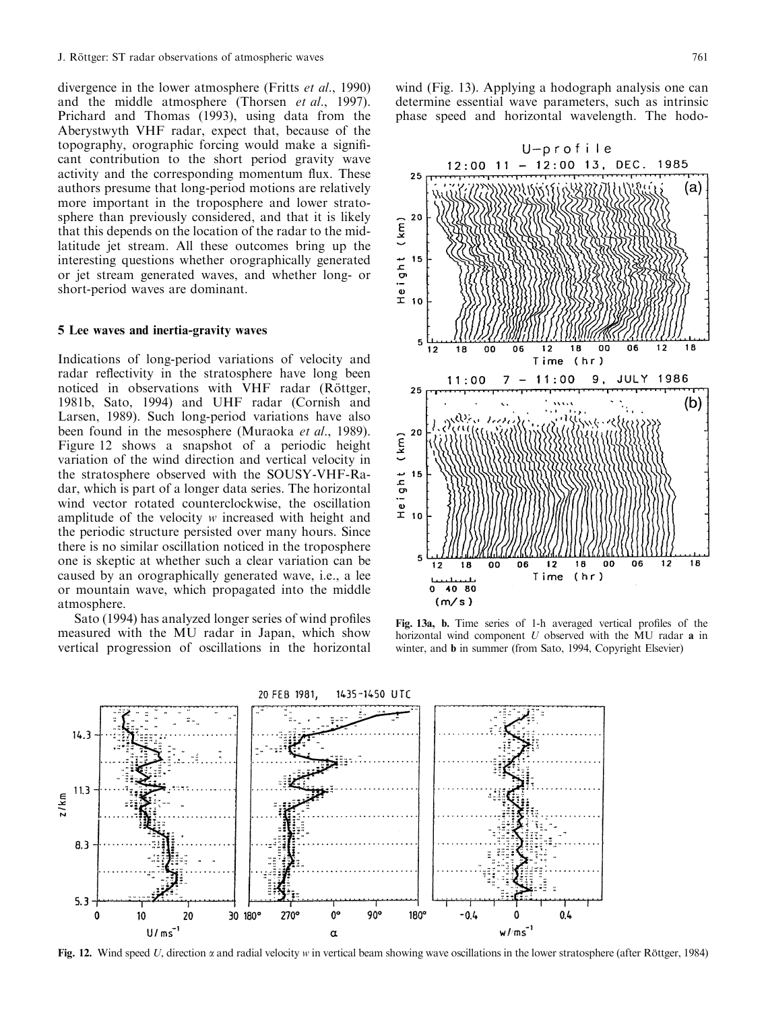divergence in the lower atmosphere (Fritts *et al.*, 1990) and the middle atmosphere (Thorsen et al., 1997). Prichard and Thomas (1993), using data from the Aberystwyth VHF radar, expect that, because of the topography, orographic forcing would make a significant contribution to the short period gravity wave activity and the corresponding momentum flux. These authors presume that long-period motions are relatively more important in the troposphere and lower stratosphere than previously considered, and that it is likely that this depends on the location of the radar to the midlatitude jet stream. All these outcomes bring up the interesting questions whether orographically generated or jet stream generated waves, and whether long- or short-period waves are dominant.

#### 5 Lee waves and inertia-gravity waves

Indications of long-period variations of velocity and radar reflectivity in the stratosphere have long been noticed in observations with VHF radar (Röttger, 1981b, Sato, 1994) and UHF radar (Cornish and Larsen, 1989). Such long-period variations have also been found in the mesosphere (Muraoka et al., 1989). Figure 12 shows a snapshot of a periodic height variation of the wind direction and vertical velocity in the stratosphere observed with the SOUSY-VHF-Radar, which is part of a longer data series. The horizontal wind vector rotated counterclockwise, the oscillation amplitude of the velocity w increased with height and the periodic structure persisted over many hours. Since there is no similar oscillation noticed in the troposphere one is skeptic at whether such a clear variation can be caused by an orographically generated wave, i.e., a lee or mountain wave, which propagated into the middle atmosphere.

Sato (1994) has analyzed longer series of wind profiles measured with the MU radar in Japan, which show vertical progression of oscillations in the horizontal

wind (Fig. 13). Applying a hodograph analysis one can determine essential wave parameters, such as intrinsic phase speed and horizontal wavelength. The hodo-



Fig. 13a, b. Time series of 1-h averaged vertical profiles of the horizontal wind component U observed with the MU radar a in winter, and b in summer (from Sato, 1994, Copyright Elsevier)



Fig. 12. Wind speed U, direction  $\alpha$  and radial velocity w in vertical beam showing wave oscillations in the lower stratosphere (after Röttger, 1984)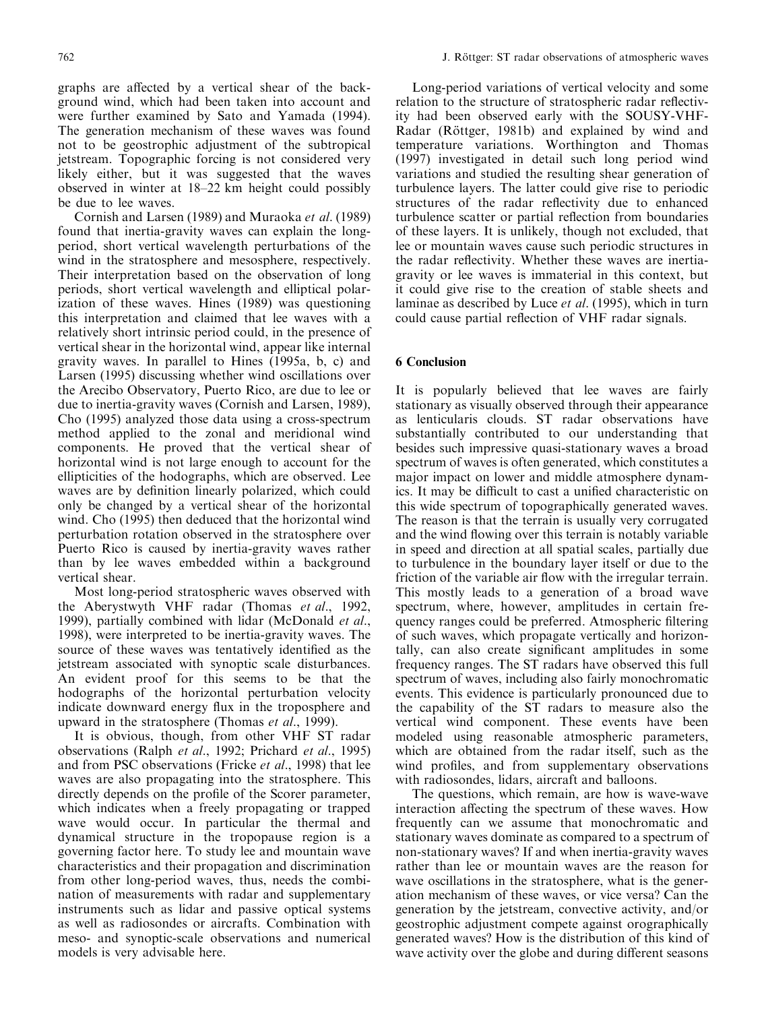graphs are affected by a vertical shear of the background wind, which had been taken into account and were further examined by Sato and Yamada (1994). The generation mechanism of these waves was found not to be geostrophic adjustment of the subtropical jetstream. Topographic forcing is not considered very likely either, but it was suggested that the waves observed in winter at  $18-22$  km height could possibly be due to lee waves.

Cornish and Larsen (1989) and Muraoka et al. (1989) found that inertia-gravity waves can explain the longperiod, short vertical wavelength perturbations of the wind in the stratosphere and mesosphere, respectively. Their interpretation based on the observation of long periods, short vertical wavelength and elliptical polarization of these waves. Hines (1989) was questioning this interpretation and claimed that lee waves with a relatively short intrinsic period could, in the presence of vertical shear in the horizontal wind, appear like internal gravity waves. In parallel to Hines (1995a, b, c) and Larsen (1995) discussing whether wind oscillations over the Arecibo Observatory, Puerto Rico, are due to lee or due to inertia-gravity waves (Cornish and Larsen, 1989), Cho (1995) analyzed those data using a cross-spectrum method applied to the zonal and meridional wind components. He proved that the vertical shear of horizontal wind is not large enough to account for the ellipticities of the hodographs, which are observed. Lee waves are by definition linearly polarized, which could only be changed by a vertical shear of the horizontal wind. Cho (1995) then deduced that the horizontal wind perturbation rotation observed in the stratosphere over Puerto Rico is caused by inertia-gravity waves rather than by lee waves embedded within a background vertical shear.

Most long-period stratospheric waves observed with the Aberystwyth VHF radar (Thomas et al., 1992, 1999), partially combined with lidar (McDonald et al., 1998), were interpreted to be inertia-gravity waves. The source of these waves was tentatively identified as the jetstream associated with synoptic scale disturbances. An evident proof for this seems to be that the hodographs of the horizontal perturbation velocity indicate downward energy flux in the troposphere and upward in the stratosphere (Thomas et al., 1999).

It is obvious, though, from other VHF ST radar observations (Ralph et al., 1992; Prichard et al., 1995) and from PSC observations (Fricke et al., 1998) that lee waves are also propagating into the stratosphere. This directly depends on the profile of the Scorer parameter, which indicates when a freely propagating or trapped wave would occur. In particular the thermal and dynamical structure in the tropopause region is a governing factor here. To study lee and mountain wave characteristics and their propagation and discrimination from other long-period waves, thus, needs the combination of measurements with radar and supplementary instruments such as lidar and passive optical systems as well as radiosondes or aircrafts. Combination with meso- and synoptic-scale observations and numerical models is very advisable here.

Long-period variations of vertical velocity and some relation to the structure of stratospheric radar reflectivity had been observed early with the SOUSY-VHF-Radar (Röttger, 1981b) and explained by wind and temperature variations. Worthington and Thomas (1997) investigated in detail such long period wind variations and studied the resulting shear generation of turbulence layers. The latter could give rise to periodic structures of the radar reflectivity due to enhanced turbulence scatter or partial reflection from boundaries of these layers. It is unlikely, though not excluded, that lee or mountain waves cause such periodic structures in the radar reflectivity. Whether these waves are inertiagravity or lee waves is immaterial in this context, but it could give rise to the creation of stable sheets and laminae as described by Luce et al. (1995), which in turn could cause partial reflection of VHF radar signals.

#### 6 Conclusion

It is popularly believed that lee waves are fairly stationary as visually observed through their appearance as lenticularis clouds. ST radar observations have substantially contributed to our understanding that besides such impressive quasi-stationary waves a broad spectrum of waves is often generated, which constitutes a major impact on lower and middle atmosphere dynamics. It may be difficult to cast a unified characteristic on this wide spectrum of topographically generated waves. The reason is that the terrain is usually very corrugated and the wind flowing over this terrain is notably variable in speed and direction at all spatial scales, partially due to turbulence in the boundary layer itself or due to the friction of the variable air flow with the irregular terrain. This mostly leads to a generation of a broad wave spectrum, where, however, amplitudes in certain frequency ranges could be preferred. Atmospheric filtering of such waves, which propagate vertically and horizontally, can also create significant amplitudes in some frequency ranges. The ST radars have observed this full spectrum of waves, including also fairly monochromatic events. This evidence is particularly pronounced due to the capability of the ST radars to measure also the vertical wind component. These events have been modeled using reasonable atmospheric parameters, which are obtained from the radar itself, such as the wind profiles, and from supplementary observations with radiosondes, lidars, aircraft and balloons.

The questions, which remain, are how is wave-wave interaction affecting the spectrum of these waves. How frequently can we assume that monochromatic and stationary waves dominate as compared to a spectrum of non-stationary waves? If and when inertia-gravity waves rather than lee or mountain waves are the reason for wave oscillations in the stratosphere, what is the generation mechanism of these waves, or vice versa? Can the generation by the jetstream, convective activity, and/or geostrophic adjustment compete against orographically generated waves? How is the distribution of this kind of wave activity over the globe and during different seasons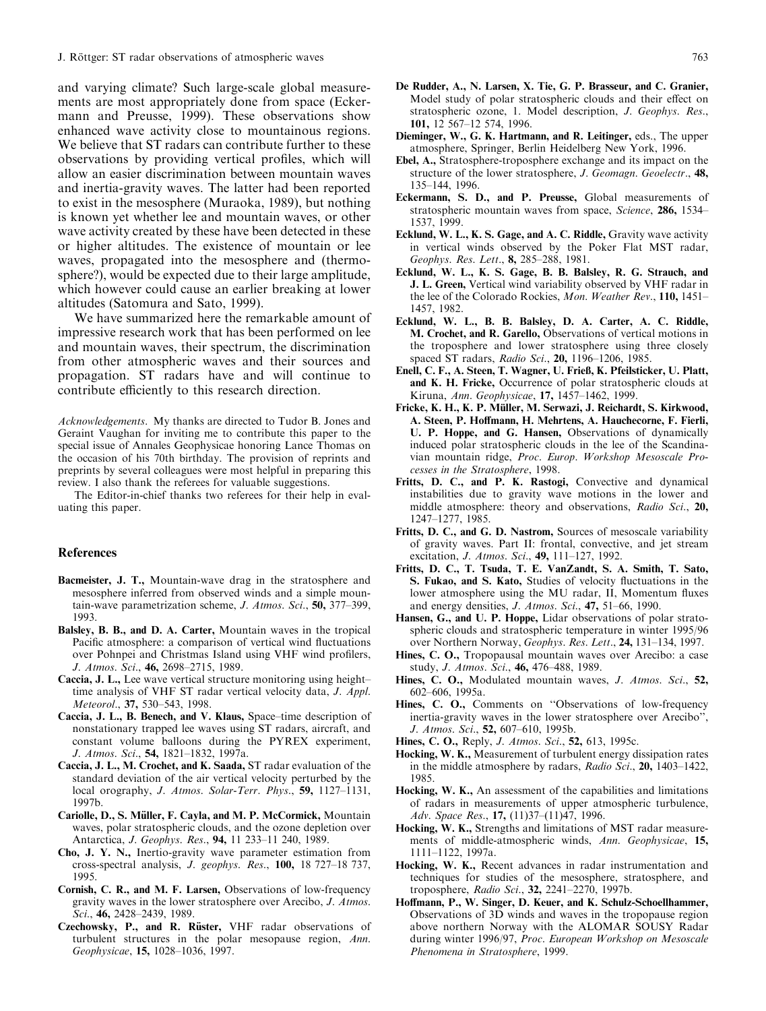and varying climate? Such large-scale global measurements are most appropriately done from space (Eckermann and Preusse, 1999). These observations show enhanced wave activity close to mountainous regions. We believe that ST radars can contribute further to these observations by providing vertical profiles, which will allow an easier discrimination between mountain waves and inertia-gravity waves. The latter had been reported to exist in the mesosphere (Muraoka, 1989), but nothing is known yet whether lee and mountain waves, or other wave activity created by these have been detected in these or higher altitudes. The existence of mountain or lee waves, propagated into the mesosphere and (thermosphere?), would be expected due to their large amplitude, which however could cause an earlier breaking at lower altitudes (Satomura and Sato, 1999).

We have summarized here the remarkable amount of impressive research work that has been performed on lee and mountain waves, their spectrum, the discrimination from other atmospheric waves and their sources and propagation. ST radars have and will continue to contribute efficiently to this research direction.

Acknowledgements. My thanks are directed to Tudor B. Jones and Geraint Vaughan for inviting me to contribute this paper to the special issue of Annales Geophysicae honoring Lance Thomas on the occasion of his 70th birthday. The provision of reprints and preprints by several colleagues were most helpful in preparing this review. I also thank the referees for valuable suggestions.

The Editor-in-chief thanks two referees for their help in evaluating this paper.

#### References

- Bacmeister, J. T., Mountain-wave drag in the stratosphere and mesosphere inferred from observed winds and a simple mountain-wave parametrization scheme,  $J.$  Atmos. Sci., 50, 377-399, 1993.
- Balsley, B. B., and D. A. Carter, Mountain waves in the tropical Pacific atmosphere: a comparison of vertical wind fluctuations over Pohnpei and Christmas Island using VHF wind profilers, J. Atmos. Sci., 46, 2698-2715, 1989.
- Caccia, J. L., Lee wave vertical structure monitoring using heighttime analysis of VHF ST radar vertical velocity data, J. Appl. Meteorol., 37, 530-543, 1998.
- Caccia, J. L., B. Benech, and V. Klaus, Space-time description of nonstationary trapped lee waves using ST radars, aircraft, and constant volume balloons during the PYREX experiment, J. Atmos. Sci., 54, 1821-1832, 1997a.
- Caccia, J. L., M. Crochet, and K. Saada, ST radar evaluation of the standard deviation of the air vertical velocity perturbed by the local orography, J. Atmos. Solar-Terr. Phys., 59, 1127-1131, 1997b.
- Cariolle, D., S. Müller, F. Cayla, and M. P. McCormick, Mountain waves, polar stratospheric clouds, and the ozone depletion over Antarctica, J. Geophys. Res., 94, 11 233-11 240, 1989.
- Cho, J. Y. N., Inertio-gravity wave parameter estimation from cross-spectral analysis, J. geophys. Res., 100, 18 727-18 737, 1995.
- Cornish, C. R., and M. F. Larsen, Observations of low-frequency gravity waves in the lower stratosphere over Arecibo, J. Atmos. Sci., 46, 2428-2439, 1989.
- Czechowsky, P., and R. Rüster, VHF radar observations of turbulent structures in the polar mesopause region, Ann. Geophysicae, 15, 1028-1036, 1997.
- De Rudder, A., N. Larsen, X. Tie, G. P. Brasseur, and C. Granier, Model study of polar stratospheric clouds and their effect on stratospheric ozone, 1. Model description, J. Geophys. Res., 101, 12 567-12 574, 1996.
- Dieminger, W., G. K. Hartmann, and R. Leitinger, eds., The upper atmosphere, Springer, Berlin Heidelberg New York, 1996.
- Ebel, A., Stratosphere-troposphere exchange and its impact on the structure of the lower stratosphere, *J. Geomagn. Geoelectr.*, 48, 135±144, 1996.
- Eckermann, S. D., and P. Preusse, Global measurements of stratospheric mountain waves from space, Science, 286, 1534-1537, 1999.
- Ecklund, W. L., K. S. Gage, and A. C. Riddle, Gravity wave activity in vertical winds observed by the Poker Flat MST radar, Geophys. Res. Lett., 8, 285-288, 1981.
- Ecklund, W. L., K. S. Gage, B. B. Balsley, R. G. Strauch, and J. L. Green, Vertical wind variability observed by VHF radar in the lee of the Colorado Rockies, Mon. Weather Rev., 110, 1451-1457, 1982.
- Ecklund, W. L., B. B. Balsley, D. A. Carter, A. C. Riddle, M. Crochet, and R. Garello, Observations of vertical motions in the troposphere and lower stratosphere using three closely spaced ST radars, Radio Sci., 20, 1196-1206, 1985.
- Enell, C. F., A. Steen, T. Wagner, U. Frieû, K. Pfeilsticker, U. Platt, and K. H. Fricke, Occurrence of polar stratospheric clouds at Kiruna, Ann. Geophysicae, 17, 1457-1462, 1999.
- Fricke, K. H., K. P. Müller, M. Serwazi, J. Reichardt, S. Kirkwood, A. Steen, P. Hoffmann, H. Mehrtens, A. Hauchecorne, F. Fierli, U. P. Hoppe, and G. Hansen, Observations of dynamically induced polar stratospheric clouds in the lee of the Scandinavian mountain ridge, Proc. Europ. Workshop Mesoscale Processes in the Stratosphere, 1998.
- Fritts, D. C., and P. K. Rastogi, Convective and dynamical instabilities due to gravity wave motions in the lower and middle atmosphere: theory and observations, Radio Sci., 20, 1247±1277, 1985.
- Fritts, D. C., and G. D. Nastrom, Sources of mesoscale variability of gravity waves. Part II: frontal, convective, and jet stream excitation, *J. Atmos. Sci.*, **49,** 111-127, 1992.
- Fritts, D. C., T. Tsuda, T. E. VanZandt, S. A. Smith, T. Sato, S. Fukao, and S. Kato, Studies of velocity fluctuations in the lower atmosphere using the MU radar, II, Momentum fluxes and energy densities,  $J.$   $Atmos.$   $Sci.$ ,  $47, 51-66, 1990.$
- Hansen, G., and U. P. Hoppe, Lidar observations of polar stratospheric clouds and stratospheric temperature in winter 1995/96 over Northern Norway, Geophys. Res. Lett., 24, 131-134, 1997.
- Hines, C. O., Tropopausal mountain waves over Arecibo: a case study, J. Atmos. Sci., 46, 476-488, 1989.
- Hines, C. O., Modulated mountain waves, J. Atmos. Sci., 52, 602±606, 1995a.
- Hines, C. O., Comments on "Observations of low-frequency inertia-gravity waves in the lower stratosphere over Arecibo'', J. Atmos. Sci., 52, 607-610, 1995b.
- Hines, C. O., Reply, *J. Atmos. Sci.*, 52, 613, 1995c.
- Hocking, W. K., Measurement of turbulent energy dissipation rates in the middle atmosphere by radars,  $Radio Sci., 20, 1403–1422,$ 1985.
- Hocking, W. K., An assessment of the capabilities and limitations of radars in measurements of upper atmospheric turbulence, Adv. Space Res., 17, (11)37-(11)47, 1996.
- Hocking, W. K., Strengths and limitations of MST radar measurements of middle-atmospheric winds, Ann. Geophysicae, 15, 1111±1122, 1997a.
- Hocking, W. K., Recent advances in radar instrumentation and techniques for studies of the mesosphere, stratosphere, and troposphere, Radio Sci., 32, 2241-2270, 1997b.
- Hoffmann, P., W. Singer, D. Keuer, and K. Schulz-Schoellhammer, Observations of 3D winds and waves in the tropopause region above northern Norway with the ALOMAR SOUSY Radar during winter 1996/97, Proc. European Workshop on Mesoscale Phenomena in Stratosphere, 1999.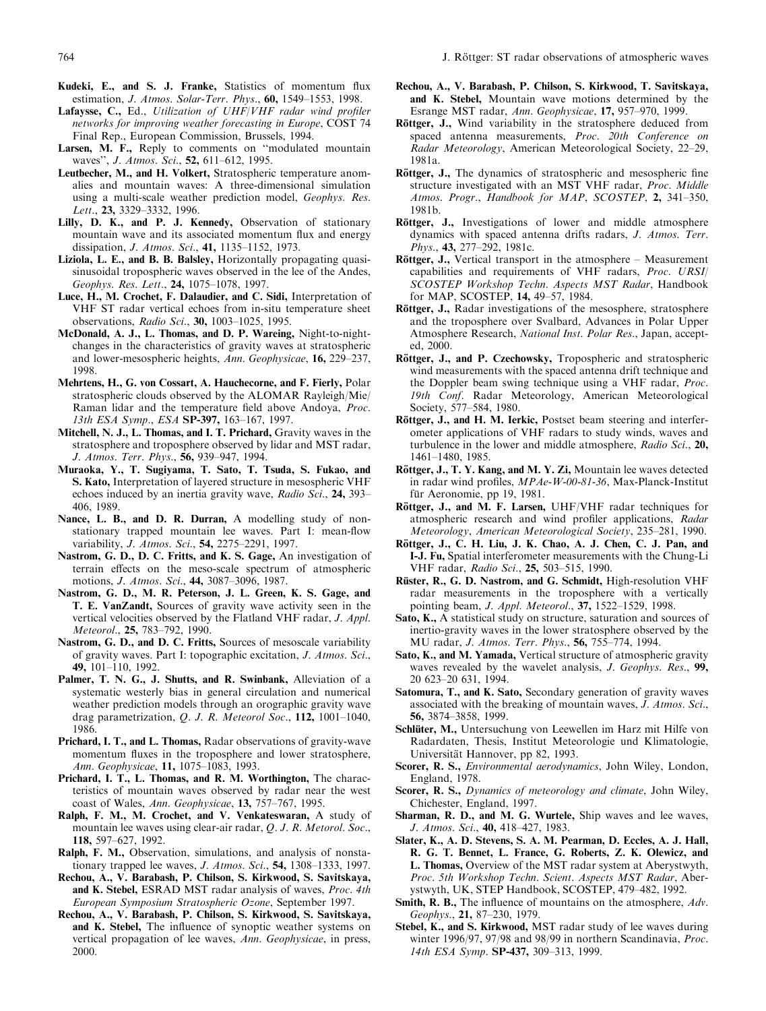- Kudeki, E., and S. J. Franke, Statistics of momentum flux estimation, *J. Atmos. Solar-Terr. Phys.*, 60, 1549-1553, 1998.
- Lafaysse, C., Ed., Utilization of UHF/VHF radar wind profiler networks for improving weather forecasting in Europe, COST 74 Final Rep., European Commission, Brussels, 1994.
- Larsen, M. F., Reply to comments on "modulated mountain waves", J. Atmos. Sci., 52, 611-612, 1995.
- Leutbecher, M., and H. Volkert, Stratospheric temperature anomalies and mountain waves: A three-dimensional simulation using a multi-scale weather prediction model, Geophys. Res. Lett., 23, 3329-3332, 1996.
- Lilly, D. K., and P. J. Kennedy, Observation of stationary mountain wave and its associated momentum flux and energy dissipation, *J. Atmos. Sci.*, **41,** 1135–1152, 1973.
- Liziola, L. E., and B. B. Balsley, Horizontally propagating quasisinusoidal tropospheric waves observed in the lee of the Andes, Geophys. Res. Lett., 24, 1075-1078, 1997.
- Luce, H., M. Crochet, F. Dalaudier, and C. Sidi, Interpretation of VHF ST radar vertical echoes from in-situ temperature sheet observations, Radio Sci., 30, 1003-1025, 1995.
- McDonald, A. J., L. Thomas, and D. P. Wareing, Night-to-nightchanges in the characteristics of gravity waves at stratospheric and lower-mesospheric heights, Ann. Geophysicae, 16, 229-237, 1998.
- Mehrtens, H., G. von Cossart, A. Hauchecorne, and F. Fierly, Polar stratospheric clouds observed by the ALOMAR Rayleigh/Mie/ Raman lidar and the temperature field above Andoya, Proc. 13th ESA Symp., ESA SP-397, 163-167, 1997.
- Mitchell, N. J., L. Thomas, and I. T. Prichard, Gravity waves in the stratosphere and troposphere observed by lidar and MST radar, J. Atmos. Terr. Phys., 56, 939-947, 1994.
- Muraoka, Y., T. Sugiyama, T. Sato, T. Tsuda, S. Fukao, and S. Kato, Interpretation of layered structure in mesospheric VHF echoes induced by an inertia gravity wave, Radio Sci., 24, 393-406, 1989.
- Nance, L. B., and D. R. Durran, A modelling study of nonstationary trapped mountain lee waves. Part I: mean-flow variability, J. Atmos. Sci., 54, 2275-2291, 1997.
- Nastrom, G. D., D. C. Fritts, and K. S. Gage, An investigation of terrain effects on the meso-scale spectrum of atmospheric motions, J. Atmos. Sci., 44, 3087-3096, 1987.
- Nastrom, G. D., M. R. Peterson, J. L. Green, K. S. Gage, and T. E. VanZandt, Sources of gravity wave activity seen in the vertical velocities observed by the Flatland VHF radar, J. Appl. Meteorol., 25, 783-792, 1990.
- Nastrom, G. D., and D. C. Fritts, Sources of mesoscale variability of gravity waves. Part I: topographic excitation, J. Atmos. Sci., 49, 101±110, 1992.
- Palmer, T. N. G., J. Shutts, and R. Swinbank, Alleviation of a systematic westerly bias in general circulation and numerical weather prediction models through an orographic gravity wave drag parametrization,  $Q. J. R.$  Meteorol Soc., 112, 1001-1040, 1986.
- Prichard, I. T., and L. Thomas, Radar observations of gravity-wave momentum fluxes in the troposphere and lower stratosphere, Ann. Geophysicae, 11, 1075-1083, 1993.
- Prichard, I. T., L. Thomas, and R. M. Worthington, The characteristics of mountain waves observed by radar near the west coast of Wales, Ann. Geophysicae, 13, 757-767, 1995.
- Ralph, F. M., M. Crochet, and V. Venkateswaran, A study of mountain lee waves using clear-air radar, Q. J. R. Metorol. Soc., 118, 597-627, 1992.
- Ralph, F. M., Observation, simulations, and analysis of nonstationary trapped lee waves, J. Atmos. Sci.,  $54$ , 1308-1333, 1997.
- Rechou, A., V. Barabash, P. Chilson, S. Kirkwood, S. Savitskaya, and K. Stebel, ESRAD MST radar analysis of waves, Proc. 4th European Symposium Stratospheric Ozone, September 1997.
- Rechou, A., V. Barabash, P. Chilson, S. Kirkwood, S. Savitskaya, and K. Stebel, The influence of synoptic weather systems on vertical propagation of lee waves, Ann. Geophysicae, in press, 2000.
- Rechou, A., V. Barabash, P. Chilson, S. Kirkwood, T. Savitskaya, and K. Stebel, Mountain wave motions determined by the Esrange MST radar, Ann. Geophysicae, 17, 957-970, 1999.
- Röttger, J., Wind variability in the stratosphere deduced from spaced antenna measurements, Proc. 20th Conference on Radar Meteorology, American Meteorological Society, 22–29, 1981a.
- Röttger, J., The dynamics of stratospheric and mesospheric fine structure investigated with an MST VHF radar, Proc. Middle Atmos. Progr., Handbook for MAP, SCOSTEP, 2, 341-350, 1981b.
- Röttger, J., Investigations of lower and middle atmosphere dynamics with spaced antenna drifts radars, J. Atmos. Terr. Phys., 43, 277-292, 1981c.
- **Röttger, J., Vertical transport in the atmosphere**  $-$  **Measurement** capabilities and requirements of VHF radars, Proc. URSI/ SCOSTEP Workshop Techn. Aspects MST Radar, Handbook for MAP, SCOSTEP, 14, 49-57, 1984.
- Röttger, J., Radar investigations of the mesosphere, stratosphere and the troposphere over Svalbard, Advances in Polar Upper Atmosphere Research, National Inst. Polar Res., Japan, accepted, 2000.
- Röttger, J., and P. Czechowsky, Tropospheric and stratospheric wind measurements with the spaced antenna drift technique and the Doppler beam swing technique using a VHF radar, Proc. 19th Conf. Radar Meteorology, American Meteorological Society, 577-584, 1980.
- Röttger, J., and H. M. Ierkic, Postset beam steering and interferometer applications of VHF radars to study winds, waves and turbulence in the lower and middle atmosphere, Radio Sci., 20, 1461±1480, 1985.
- Röttger, J., T. Y. Kang, and M. Y. Zi, Mountain lee waves detected in radar wind profiles,  $MPAe-W-00-81-36$ , Max-Planck-Institut für Aeronomie, pp 19, 1981.
- Röttger, J., and M. F. Larsen, UHF/VHF radar techniques for atmospheric research and wind profiler applications, Radar Meteorology, American Meteorological Society, 235-281, 1990.
- Röttger, J., C. H. Liu, J. K. Chao, A. J. Chen, C. J. Pan, and I-J. Fu, Spatial interferometer measurements with the Chung-Li VHF radar, Radio Sci., 25, 503-515, 1990.
- Rüster, R., G. D. Nastrom, and G. Schmidt, High-resolution VHF radar measurements in the troposphere with a vertically pointing beam, J. Appl. Meteorol., 37, 1522-1529, 1998.
- Sato, K., A statistical study on structure, saturation and sources of inertio-gravity waves in the lower stratosphere observed by the MU radar, J. Atmos. Terr. Phys., 56, 755-774, 1994.
- Sato, K., and M. Yamada, Vertical structure of atmospheric gravity waves revealed by the wavelet analysis, J. Geophys. Res., 99, 20 623±20 631, 1994.
- Satomura, T., and K. Sato, Secondary generation of gravity waves associated with the breaking of mountain waves, J. Atmos. Sci., **56,** 3874–3858, 1999.
- Schlüter, M., Untersuchung von Leewellen im Harz mit Hilfe von Radardaten, Thesis, Institut Meteorologie und Klimatologie, Universität Hannover, pp 82, 1993.
- Scorer, R. S., Environmental aerodynamics, John Wiley, London, England, 1978.
- Scorer, R. S., Dynamics of meteorology and climate, John Wiley, Chichester, England, 1997.
- Sharman, R. D., and M. G. Wurtele, Ship waves and lee waves, J. Atmos. Sci., 40, 418-427, 1983.
- Slater, K., A. D. Stevens, S. A. M. Pearman, D. Eccles, A. J. Hall, R. G. T. Bennet, L. France, G. Roberts, Z. K. Olewicz, and L. Thomas, Overview of the MST radar system at Aberystwyth, Proc. 5th Workshop Techn. Scient. Aspects MST Radar, Aberystwyth, UK, STEP Handbook, SCOSTEP, 479-482, 1992.
- **Smith, R. B.,** The influence of mountains on the atmosphere,  $Adv$ . Geophys., 21, 87-230, 1979.
- Stebel, K., and S. Kirkwood, MST radar study of lee waves during winter 1996/97, 97/98 and 98/99 in northern Scandinavia, Proc. 14th ESA Symp. SP-437, 309-313, 1999.